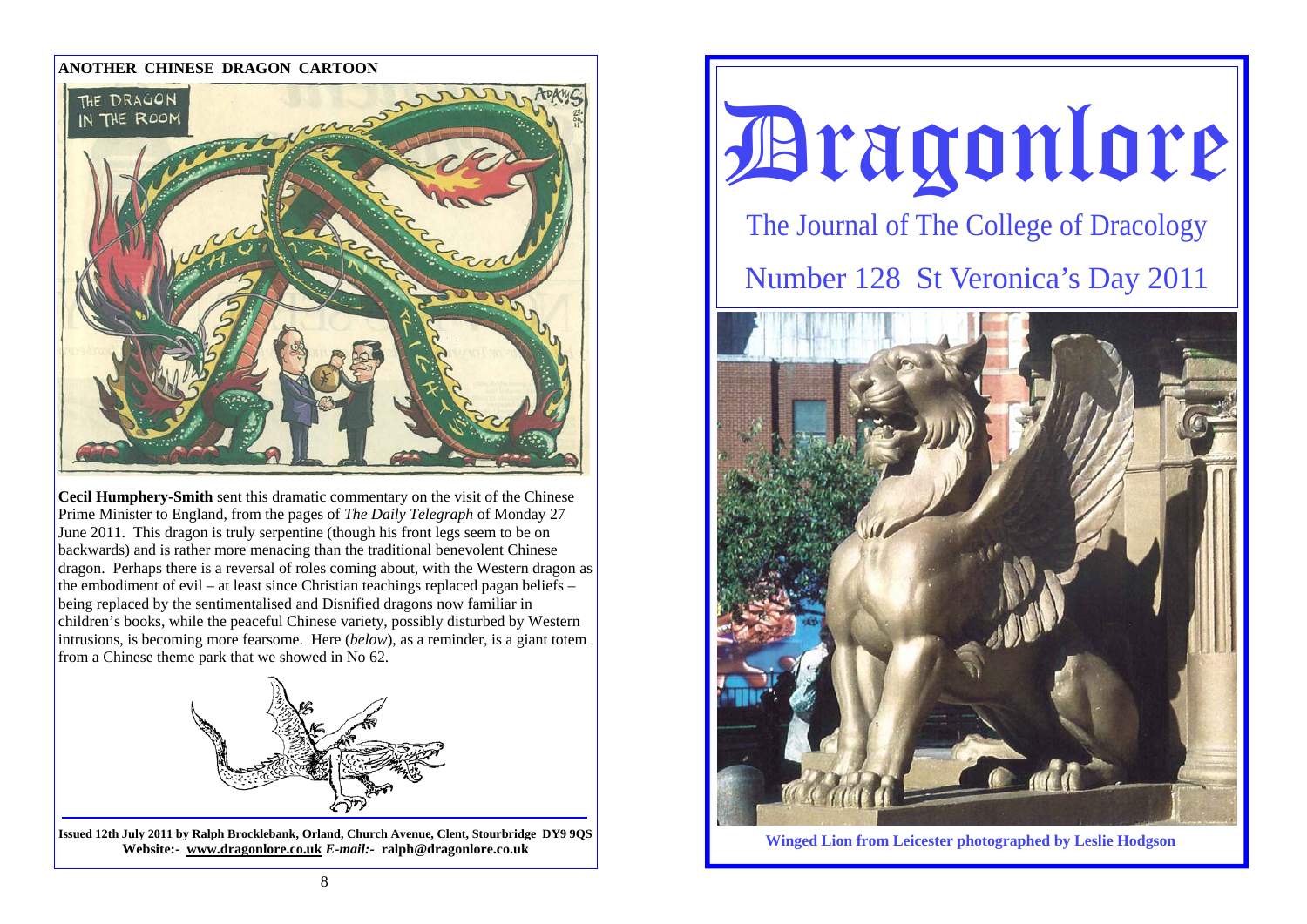#### **ANOTHER CHINESE DRAGON CARTOON**



**Cecil Humphery-Smith** sent this dramatic commentary on the visit of the Chinese Prime Minister to England, from the pages of *The Daily Telegraph* of Monday 27 June 2011. This dragon is truly serpentine (though his front legs seem to be on backwards) and is rather more menacing than the traditional benevolent Chinese dragon. Perhaps there is a reversal of roles coming about, with the Western dragon as the embodiment of evil – at least since Christian teachings replaced pagan beliefs – being replaced by the sentimentalised and Disnified dragons now familiar in children's books, while the peaceful Chinese variety, possibly disturbed by Western intrusions, is becoming more fearsome. Here (*below*), as a reminder, is a giant totem from a Chinese theme park that we showed in No 62.



**Issued 12th July 2011 by Ralph Brocklebank, Orland, Church Avenue, Clent, Stourbridge DY9 9QS Website:- www.dragonlore.co.uk** *E-mail:-* **ralph@dragonlore.co.uk**





**Winged Lion from Leicester photographed by Leslie Hodgson**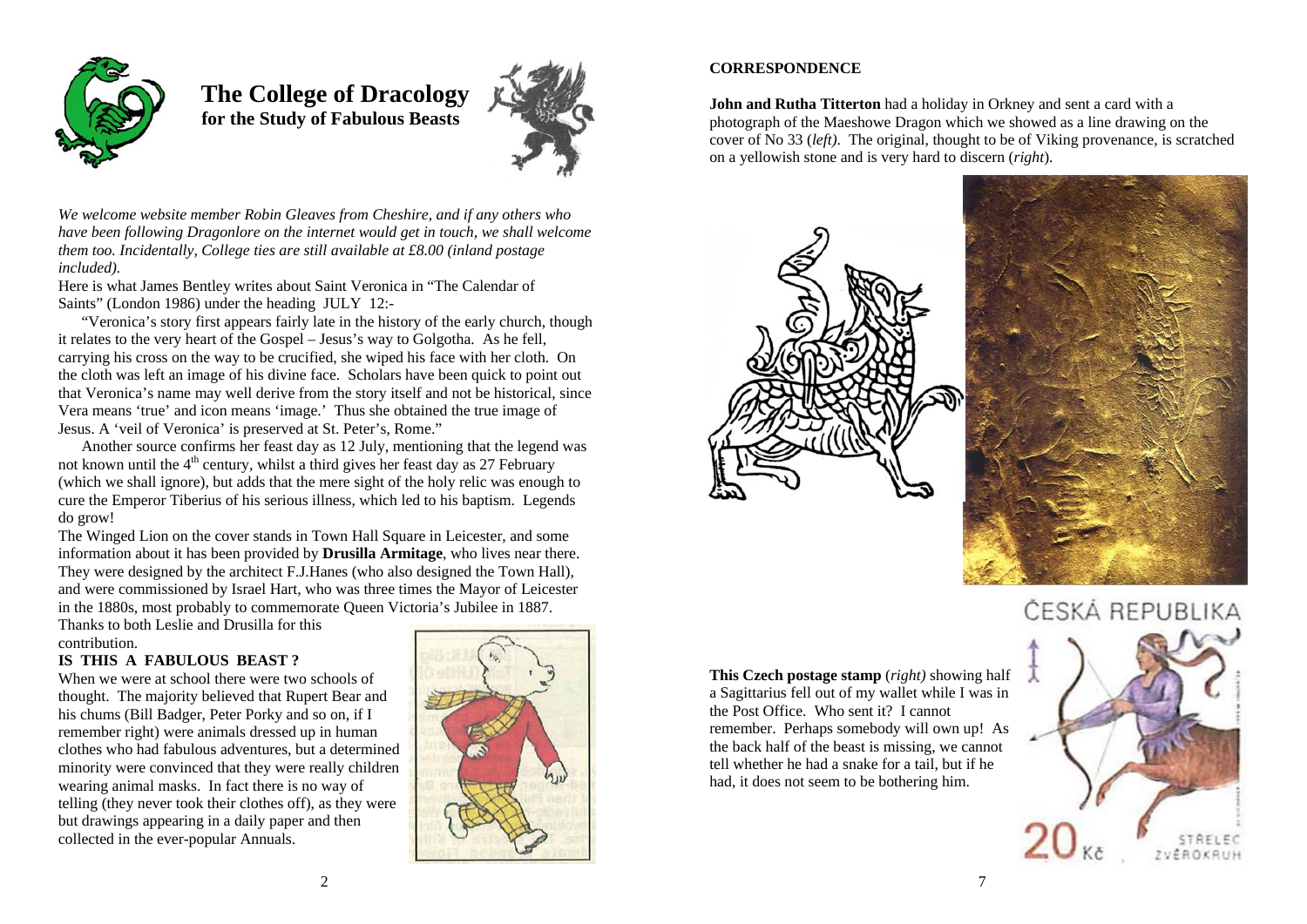

 **The College of Dracology for the Study of Fabulous Beasts** 



*We welcome website member Robin Gleaves from Cheshire, and if any others who have been following Dragonlore on the internet would get in touch, we shall welcome them too. Incidentally, College ties are still available at £8.00 (inland postage included).* 

Here is what James Bentley writes about Saint Veronica in "The Calendar of Saints" (London 1986) under the heading JULY 12:-

 "Veronica's story first appears fairly late in the history of the early church, though it relates to the very heart of the Gospel – Jesus's way to Golgotha. As he fell, carrying his cross on the way to be crucified, she wiped his face with her cloth. On the cloth was left an image of his divine face. Scholars have been quick to point out that Veronica's name may well derive from the story itself and not be historical, since Vera means 'true' and icon means 'image.' Thus she obtained the true image of Jesus. A 'veil of Veronica' is preserved at St. Peter's, Rome."

 Another source confirms her feast day as 12 July, mentioning that the legend was not known until the 4<sup>th</sup> century, whilst a third gives her feast day as 27 February (which we shall ignore), but adds that the mere sight of the holy relic was enough to cure the Emperor Tiberius of his serious illness, which led to his baptism. Legends do grow!

The Winged Lion on the cover stands in Town Hall Square in Leicester, and some information about it has been provided by **Drusilla Armitage**, who lives near there. They were designed by the architect F.J.Hanes (who also designed the Town Hall), and were commissioned by Israel Hart, who was three times the Mayor of Leicester in the 1880s, most probably to commemorate Queen Victoria's Jubilee in 1887.

Thanks to both Leslie and Drusilla for this contribution.

## **IS THIS A FABULOUS BEAST ?**

When we were at school there were two schools of thought. The majority believed that Rupert Bear and his chums (Bill Badger, Peter Porky and so on, if I remember right) were animals dressed up in human clothes who had fabulous adventures, but a determined minority were convinced that they were really children wearing animal masks. In fact there is no way of telling (they never took their clothes off), as they were but drawings appearing in a daily paper and then collected in the ever-popular Annuals.



# **CORRESPONDENCE**

**John and Rutha Titterton** had a holiday in Orkney and sent a card with a photograph of the Maeshowe Dragon which we showed as a line drawing on the cover of No 33 (*left)*. The original, thought to be of Viking provenance, is scratched on a yellowish stone and is very hard to discern (*right*).



the Post Office. Who sent it? I cannot

the back half of the beast is missing, we cannot tell whether he had a snake for a tail, but if he had, it does not seem to be bothering him.



# ČESKÁ REPUBLIKA

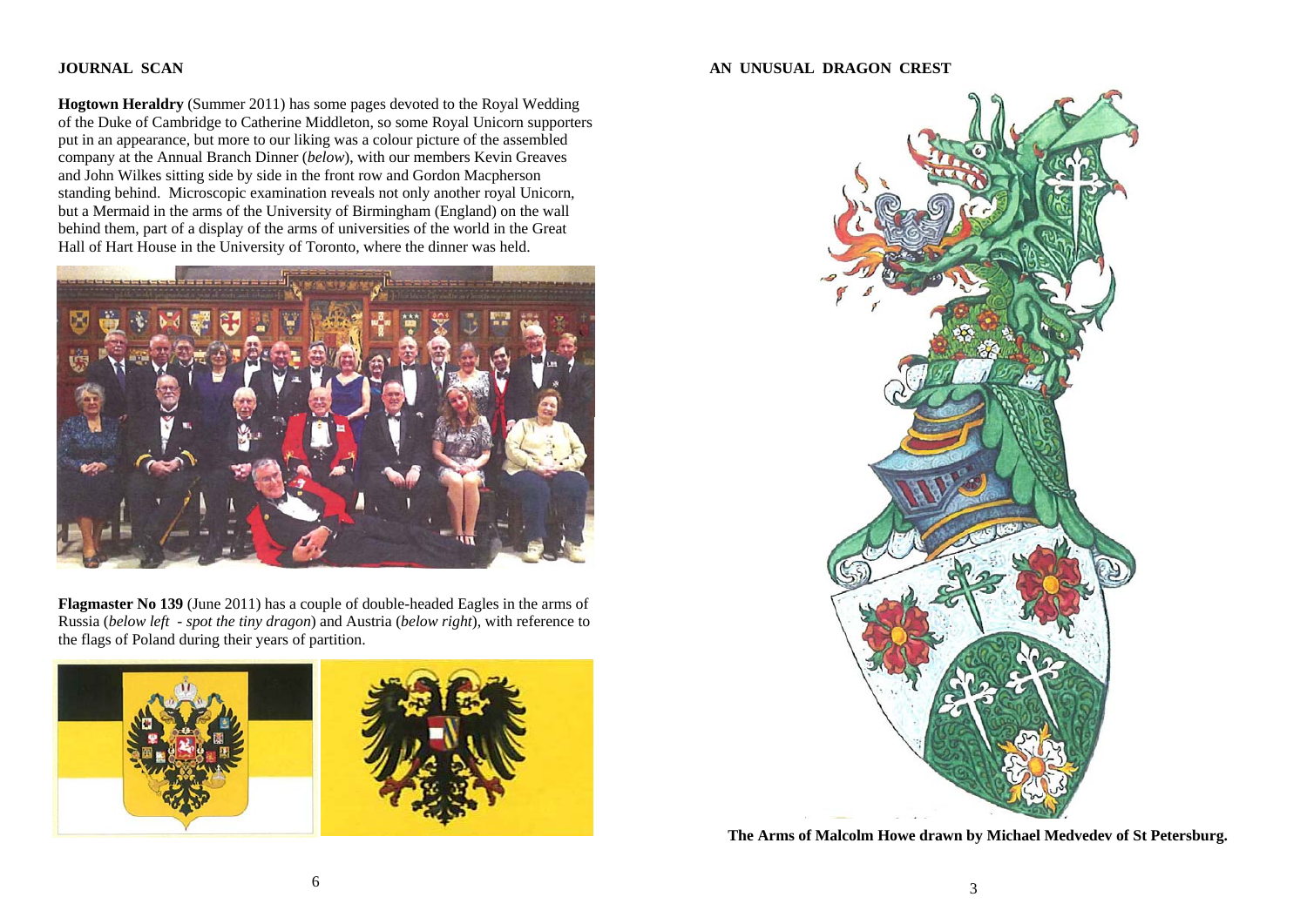### **JOURNAL SCAN**

**Hogtown Heraldry** (Summer 2011) has some pages devoted to the Royal Wedding of the Duke of Cambridge to Catherine Middleton, so some Royal Unicorn supporters put in an appearance, but more to our liking was a colour picture of the assembled company at the Annual Branch Dinner (*below*), with our members Kevin Greaves and John Wilkes sitting side by side in the front row and Gordon Macpherson standing behind. Microscopic examination reveals not only another royal Unicorn, but a Mermaid in the arms of the University of Birmingham (England) on the wall behind them, part of a display of the arms of universities of the world in the Great Hall of Hart House in the University of Toronto, where the dinner was held.



**Flagmaster No 139** (June 2011) has a couple of double-headed Eagles in the arms of Russia (*below left - spot the tiny dragon*) and Austria (*below right*), with reference to the flags of Poland during their years of partition.



#### **AN UNUSUAL DRAGON CREST**



**The Arms of Malcolm Howe drawn by Michael Medvedev of St Petersburg.**